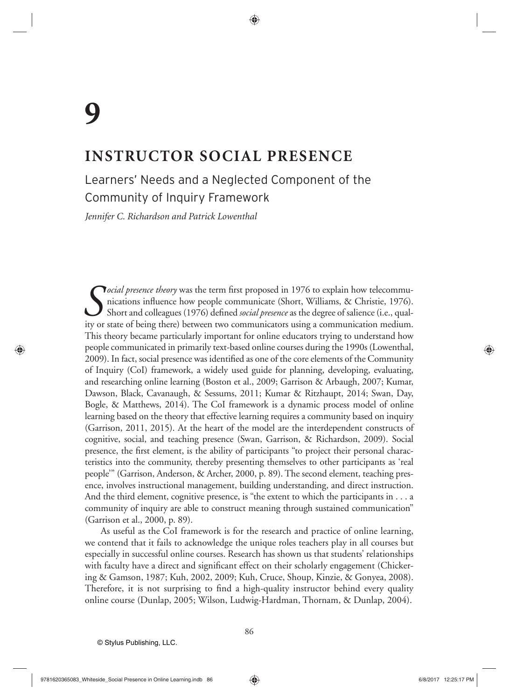# **INSTRUCTOR SOCIAL PRESENCE**

# Learners' Needs and a Neglected Component of the Community of Inquiry Framework

*Jennifer C. Richardson and Patrick Lowenthal*

*Social presence theory* was the term first proposed in 1976 to explain how telecommunications influence how people communicate (Short, Williams, & Christie, 1976). Short and colleagues (1976) defined *social presence* as nications influence how people communicate (Short, Williams, & Christie, 1976). Short and colleagues (1976) defined *social presence* as the degree of salience (i.e., quality or state of being there) between two communicators using a communication medium. This theory became particularly important for online educators trying to understand how people communicated in primarily text-based online courses during the 1990s (Lowenthal, 2009). In fact, social presence was identified as one of the core elements of the Community of Inquiry (CoI) framework, a widely used guide for planning, developing, evaluating, and researching online learning (Boston et al., 2009; Garrison & Arbaugh, 2007; Kumar, Dawson, Black, Cavanaugh, & Sessums, 2011; Kumar & Ritzhaupt, 2014; Swan, Day, Bogle, & Matthews, 2014). The CoI framework is a dynamic process model of online learning based on the theory that effective learning requires a community based on inquiry (Garrison, 2011, 2015). At the heart of the model are the interdependent constructs of cognitive, social, and teaching presence (Swan, Garrison, & Richardson, 2009). Social presence, the first element, is the ability of participants "to project their personal characteristics into the community, thereby presenting themselves to other participants as 'real people'" (Garrison, Anderson, & Archer, 2000, p. 89). The second element, teaching presence, involves instructional management, building understanding, and direct instruction. And the third element, cognitive presence, is "the extent to which the participants in . . . a community of inquiry are able to construct meaning through sustained communication" (Garrison et al., 2000, p. 89).

As useful as the CoI framework is for the research and practice of online learning, we contend that it fails to acknowledge the unique roles teachers play in all courses but especially in successful online courses. Research has shown us that students' relationships with faculty have a direct and significant effect on their scholarly engagement (Chickering & Gamson, 1987; Kuh, 2002, 2009; Kuh, Cruce, Shoup, Kinzie, & Gonyea, 2008). Therefore, it is not surprising to find a high-quality instructor behind every quality online course (Dunlap, 2005; Wilson, Ludwig-Hardman, Thornam, & Dunlap, 2004).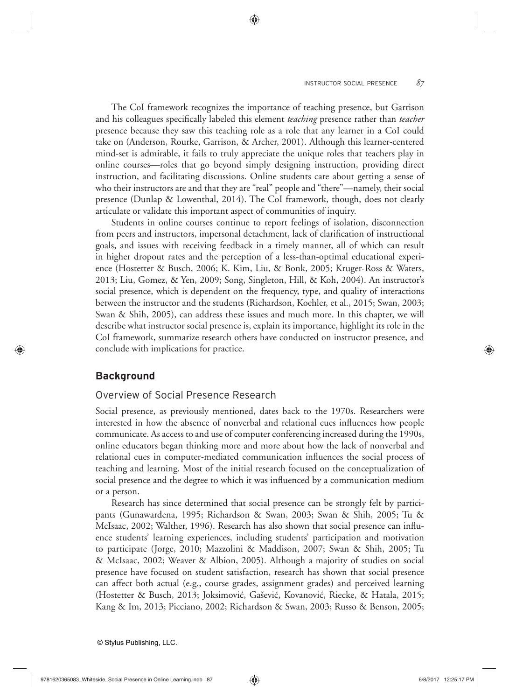The CoI framework recognizes the importance of teaching presence, but Garrison and his colleagues specifically labeled this element *teaching* presence rather than *teacher* presence because they saw this teaching role as a role that any learner in a CoI could take on (Anderson, Rourke, Garrison, & Archer, 2001). Although this learner-centered mind-set is admirable, it fails to truly appreciate the unique roles that teachers play in online courses—roles that go beyond simply designing instruction, providing direct instruction, and facilitating discussions. Online students care about getting a sense of who their instructors are and that they are "real" people and "there"—namely, their social presence (Dunlap & Lowenthal, 2014). The CoI framework, though, does not clearly articulate or validate this important aspect of communities of inquiry.

Students in online courses continue to report feelings of isolation, disconnection from peers and instructors, impersonal detachment, lack of clarification of instructional goals, and issues with receiving feedback in a timely manner, all of which can result in higher dropout rates and the perception of a less-than-optimal educational experience (Hostetter & Busch, 2006; K. Kim, Liu, & Bonk, 2005; Kruger-Ross & Waters, 2013; Liu, Gomez, & Yen, 2009; Song, Singleton, Hill, & Koh, 2004). An instructor's social presence, which is dependent on the frequency, type, and quality of interactions between the instructor and the students (Richardson, Koehler, et al., 2015; Swan, 2003; Swan & Shih, 2005), can address these issues and much more. In this chapter, we will describe what instructor social presence is, explain its importance, highlight its role in the CoI framework, summarize research others have conducted on instructor presence, and conclude with implications for practice.

#### **Background**

### Overview of Social Presence Research

Social presence, as previously mentioned, dates back to the 1970s. Researchers were interested in how the absence of nonverbal and relational cues influences how people communicate. As access to and use of computer conferencing increased during the 1990s, online educators began thinking more and more about how the lack of nonverbal and relational cues in computer-mediated communication influences the social process of teaching and learning. Most of the initial research focused on the conceptualization of social presence and the degree to which it was influenced by a communication medium or a person.

Research has since determined that social presence can be strongly felt by participants (Gunawardena, 1995; Richardson & Swan, 2003; Swan & Shih, 2005; Tu & McIsaac, 2002; Walther, 1996). Research has also shown that social presence can influence students' learning experiences, including students' participation and motivation to participate (Jorge, 2010; Mazzolini & Maddison, 2007; Swan & Shih, 2005; Tu & McIsaac, 2002; Weaver & Albion, 2005). Although a majority of studies on social presence have focused on student satisfaction, research has shown that social presence can affect both actual (e.g., course grades, assignment grades) and perceived learning (Hostetter & Busch, 2013; Joksimović, Gašević, Kovanović, Riecke, & Hatala, 2015; Kang & Im, 2013; Picciano, 2002; Richardson & Swan, 2003; Russo & Benson, 2005;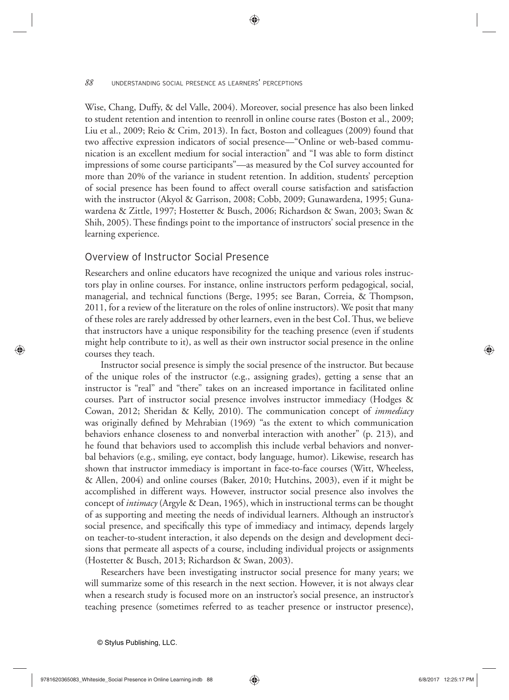Wise, Chang, Duffy, & del Valle, 2004). Moreover, social presence has also been linked to student retention and intention to reenroll in online course rates (Boston et al., 2009; Liu et al., 2009; Reio & Crim, 2013). In fact, Boston and colleagues (2009) found that two affective expression indicators of social presence—"Online or web-based communication is an excellent medium for social interaction" and "I was able to form distinct impressions of some course participants"—as measured by the CoI survey accounted for more than 20% of the variance in student retention. In addition, students' perception of social presence has been found to affect overall course satisfaction and satisfaction with the instructor (Akyol & Garrison, 2008; Cobb, 2009; Gunawardena, 1995; Gunawardena & Zittle, 1997; Hostetter & Busch, 2006; Richardson & Swan, 2003; Swan & Shih, 2005). These findings point to the importance of instructors' social presence in the learning experience.

#### Overview of Instructor Social Presence

Researchers and online educators have recognized the unique and various roles instructors play in online courses. For instance, online instructors perform pedagogical, social, managerial, and technical functions (Berge, 1995; see Baran, Correia, & Thompson, 2011, for a review of the literature on the roles of online instructors). We posit that many of these roles are rarely addressed by other learners, even in the best CoI. Thus, we believe that instructors have a unique responsibility for the teaching presence (even if students might help contribute to it), as well as their own instructor social presence in the online courses they teach.

Instructor social presence is simply the social presence of the instructor. But because of the unique roles of the instructor (e.g., assigning grades), getting a sense that an instructor is "real" and "there" takes on an increased importance in facilitated online courses. Part of instructor social presence involves instructor immediacy (Hodges & Cowan, 2012; Sheridan & Kelly, 2010). The communication concept of *immediacy* was originally defined by Mehrabian (1969) "as the extent to which communication behaviors enhance closeness to and nonverbal interaction with another" (p. 213), and he found that behaviors used to accomplish this include verbal behaviors and nonverbal behaviors (e.g., smiling, eye contact, body language, humor). Likewise, research has shown that instructor immediacy is important in face-to-face courses (Witt, Wheeless, & Allen, 2004) and online courses (Baker, 2010; Hutchins, 2003), even if it might be accomplished in different ways. However, instructor social presence also involves the concept of *intimacy* (Argyle & Dean, 1965), which in instructional terms can be thought of as supporting and meeting the needs of individual learners. Although an instructor's social presence, and specifically this type of immediacy and intimacy, depends largely on teacher-to-student interaction, it also depends on the design and development decisions that permeate all aspects of a course, including individual projects or assignments (Hostetter & Busch, 2013; Richardson & Swan, 2003).

Researchers have been investigating instructor social presence for many years; we will summarize some of this research in the next section. However, it is not always clear when a research study is focused more on an instructor's social presence, an instructor's teaching presence (sometimes referred to as teacher presence or instructor presence),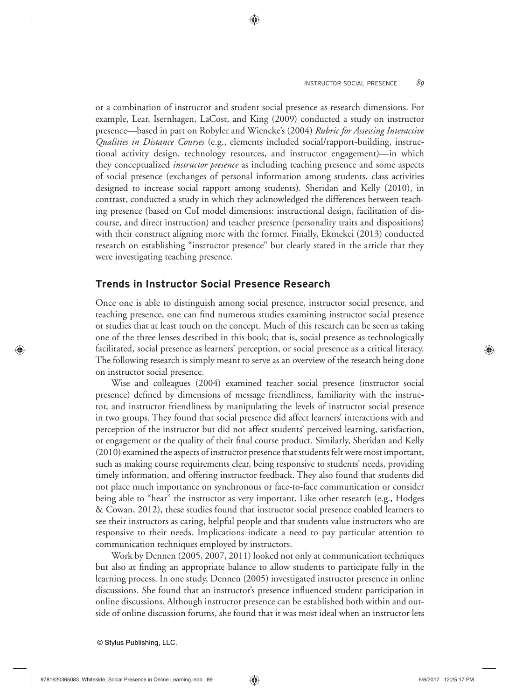or a combination of instructor and student social presence as research dimensions. For example, Lear, Isernhagen, LaCost, and King (2009) conducted a study on instructor presence—based in part on Robyler and Wiencke's (2004) *Rubric for Assessing Interactive Qualities in Distance Courses* (e.g., elements included social/rapport-building, instructional activity design, technology resources, and instructor engagement)—in which they conceptualized *instructor presence* as including teaching presence and some aspects of social presence (exchanges of personal information among students, class activities designed to increase social rapport among students). Sheridan and Kelly (2010), in contrast, conducted a study in which they acknowledged the differences between teaching presence (based on CoI model dimensions: instructional design, facilitation of discourse, and direct instruction) and teacher presence (personality traits and dispositions) with their construct aligning more with the former. Finally, Ekmekci (2013) conducted research on establishing "instructor presence" but clearly stated in the article that they were investigating teaching presence.

### **Trends in Instructor Social Presence Research**

Once one is able to distinguish among social presence, instructor social presence, and teaching presence, one can find numerous studies examining instructor social presence or studies that at least touch on the concept. Much of this research can be seen as taking one of the three lenses described in this book; that is, social presence as technologically facilitated, social presence as learners' perception, or social presence as a critical literacy. The following research is simply meant to serve as an overview of the research being done on instructor social presence.

Wise and colleagues (2004) examined teacher social presence (instructor social presence) defined by dimensions of message friendliness, familiarity with the instructor, and instructor friendliness by manipulating the levels of instructor social presence in two groups. They found that social presence did affect learners' interactions with and perception of the instructor but did not affect students' perceived learning, satisfaction, or engagement or the quality of their final course product. Similarly, Sheridan and Kelly (2010) examined the aspects of instructor presence that students felt were most important, such as making course requirements clear, being responsive to students' needs, providing timely information, and offering instructor feedback. They also found that students did not place much importance on synchronous or face-to-face communication or consider being able to "hear" the instructor as very important. Like other research (e.g., Hodges & Cowan, 2012), these studies found that instructor social presence enabled learners to see their instructors as caring, helpful people and that students value instructors who are responsive to their needs. Implications indicate a need to pay particular attention to communication techniques employed by instructors.

Work by Dennen (2005, 2007, 2011) looked not only at communication techniques but also at finding an appropriate balance to allow students to participate fully in the learning process. In one study, Dennen (2005) investigated instructor presence in online discussions. She found that an instructor's presence influenced student participation in online discussions. Although instructor presence can be established both within and outside of online discussion forums, she found that it was most ideal when an instructor lets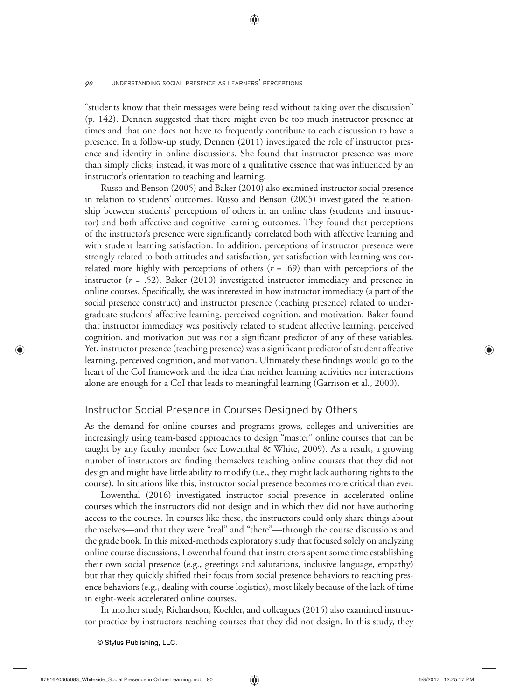"students know that their messages were being read without taking over the discussion" (p. 142). Dennen suggested that there might even be too much instructor presence at times and that one does not have to frequently contribute to each discussion to have a presence. In a follow-up study, Dennen (2011) investigated the role of instructor presence and identity in online discussions. She found that instructor presence was more than simply clicks; instead, it was more of a qualitative essence that was influenced by an instructor's orientation to teaching and learning.

Russo and Benson (2005) and Baker (2010) also examined instructor social presence in relation to students' outcomes. Russo and Benson (2005) investigated the relationship between students' perceptions of others in an online class (students and instructor) and both affective and cognitive learning outcomes. They found that perceptions of the instructor's presence were significantly correlated both with affective learning and with student learning satisfaction. In addition, perceptions of instructor presence were strongly related to both attitudes and satisfaction, yet satisfaction with learning was correlated more highly with perceptions of others  $(r = .69)$  than with perceptions of the instructor  $(r = .52)$ . Baker (2010) investigated instructor immediacy and presence in online courses. Specifically, she was interested in how instructor immediacy (a part of the social presence construct) and instructor presence (teaching presence) related to undergraduate students' affective learning, perceived cognition, and motivation. Baker found that instructor immediacy was positively related to student affective learning, perceived cognition, and motivation but was not a significant predictor of any of these variables. Yet, instructor presence (teaching presence) was a significant predictor of student affective learning, perceived cognition, and motivation. Ultimately these findings would go to the heart of the CoI framework and the idea that neither learning activities nor interactions alone are enough for a CoI that leads to meaningful learning (Garrison et al., 2000).

#### Instructor Social Presence in Courses Designed by Others

As the demand for online courses and programs grows, colleges and universities are increasingly using team-based approaches to design "master" online courses that can be taught by any faculty member (see Lowenthal & White, 2009). As a result, a growing number of instructors are finding themselves teaching online courses that they did not design and might have little ability to modify (i.e., they might lack authoring rights to the course). In situations like this, instructor social presence becomes more critical than ever.

Lowenthal (2016) investigated instructor social presence in accelerated online courses which the instructors did not design and in which they did not have authoring access to the courses. In courses like these, the instructors could only share things about themselves—and that they were "real" and "there"—through the course discussions and the grade book. In this mixed-methods exploratory study that focused solely on analyzing online course discussions, Lowenthal found that instructors spent some time establishing their own social presence (e.g., greetings and salutations, inclusive language, empathy) but that they quickly shifted their focus from social presence behaviors to teaching presence behaviors (e.g., dealing with course logistics), most likely because of the lack of time in eight-week accelerated online courses.

In another study, Richardson, Koehler, and colleagues (2015) also examined instructor practice by instructors teaching courses that they did not design. In this study, they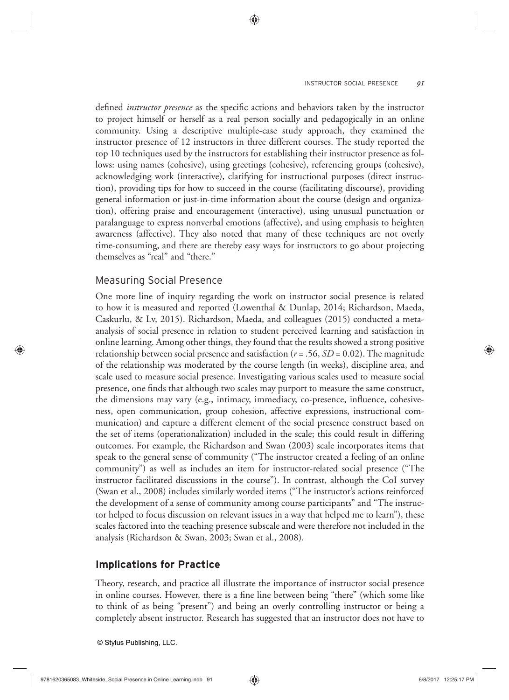defined *instructor presence* as the specific actions and behaviors taken by the instructor to project himself or herself as a real person socially and pedagogically in an online community. Using a descriptive multiple-case study approach, they examined the instructor presence of 12 instructors in three different courses. The study reported the top 10 techniques used by the instructors for establishing their instructor presence as follows: using names (cohesive), using greetings (cohesive), referencing groups (cohesive), acknowledging work (interactive), clarifying for instructional purposes (direct instruction), providing tips for how to succeed in the course (facilitating discourse), providing general information or just-in-time information about the course (design and organization), offering praise and encouragement (interactive), using unusual punctuation or paralanguage to express nonverbal emotions (affective), and using emphasis to heighten awareness (affective). They also noted that many of these techniques are not overly time-consuming, and there are thereby easy ways for instructors to go about projecting themselves as "real" and "there."

## Measuring Social Presence

One more line of inquiry regarding the work on instructor social presence is related to how it is measured and reported (Lowenthal & Dunlap, 2014; Richardson, Maeda, Caskurlu, & Lv, 2015). Richardson, Maeda, and colleagues (2015) conducted a metaanalysis of social presence in relation to student perceived learning and satisfaction in online learning. Among other things, they found that the results showed a strong positive relationship between social presence and satisfaction  $(r = .56, SD = 0.02)$ . The magnitude of the relationship was moderated by the course length (in weeks), discipline area, and scale used to measure social presence. Investigating various scales used to measure social presence, one finds that although two scales may purport to measure the same construct, the dimensions may vary  $(e.g.,$  intimacy, immediacy, co-presence, influence, cohesiveness, open communication, group cohesion, affective expressions, instructional communication) and capture a different element of the social presence construct based on the set of items (operationalization) included in the scale; this could result in differing outcomes. For example, the Richardson and Swan (2003) scale incorporates items that speak to the general sense of community ("The instructor created a feeling of an online community") as well as includes an item for instructor-related social presence ("The instructor facilitated discussions in the course"). In contrast, although the CoI survey (Swan et al., 2008) includes similarly worded items ("The instructor's actions reinforced the development of a sense of community among course participants" and "The instructor helped to focus discussion on relevant issues in a way that helped me to learn"), these scales factored into the teaching presence subscale and were therefore not included in the analysis (Richardson & Swan, 2003; Swan et al., 2008).

## **Implications for Practice**

Theory, research, and practice all illustrate the importance of instructor social presence in online courses. However, there is a fine line between being "there" (which some like to think of as being "present") and being an overly controlling instructor or being a completely absent instructor. Research has suggested that an instructor does not have to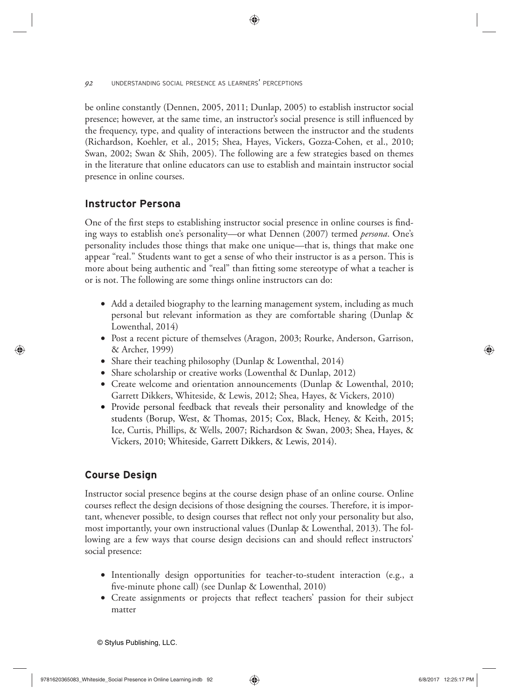be online constantly (Dennen, 2005, 2011; Dunlap, 2005) to establish instructor social presence; however, at the same time, an instructor's social presence is still influenced by the frequency, type, and quality of interactions between the instructor and the students (Richardson, Koehler, et al., 2015; Shea, Hayes, Vickers, Gozza-Cohen, et al., 2010; Swan, 2002; Swan & Shih, 2005). The following are a few strategies based on themes in the literature that online educators can use to establish and maintain instructor social presence in online courses.

# **Instructor Persona**

One of the first steps to establishing instructor social presence in online courses is finding ways to establish one's personality—or what Dennen (2007) termed *persona*. One's personality includes those things that make one unique—that is, things that make one appear "real." Students want to get a sense of who their instructor is as a person. This is more about being authentic and "real" than fitting some stereotype of what a teacher is or is not. The following are some things online instructors can do:

- Add a detailed biography to the learning management system, including as much personal but relevant information as they are comfortable sharing (Dunlap & Lowenthal, 2014)
- Post a recent picture of themselves (Aragon, 2003; Rourke, Anderson, Garrison, & Archer, 1999)
- Share their teaching philosophy (Dunlap & Lowenthal, 2014)
- Share scholarship or creative works (Lowenthal & Dunlap, 2012)
- Create welcome and orientation announcements (Dunlap & Lowenthal, 2010; Garrett Dikkers, Whiteside, & Lewis, 2012; Shea, Hayes, & Vickers, 2010)
- Provide personal feedback that reveals their personality and knowledge of the students (Borup, West, & Thomas, 2015; Cox, Black, Heney, & Keith, 2015; Ice, Curtis, Phillips, & Wells, 2007; Richardson & Swan, 2003; Shea, Hayes, & Vickers, 2010; Whiteside, Garrett Dikkers, & Lewis, 2014).

# **Course Design**

Instructor social presence begins at the course design phase of an online course. Online courses reflect the design decisions of those designing the courses. Therefore, it is important, whenever possible, to design courses that reflect not only your personality but also, most importantly, your own instructional values (Dunlap & Lowenthal, 2013). The following are a few ways that course design decisions can and should reflect instructors' social presence:

- Intentionally design opportunities for teacher-to-student interaction (e.g., a five-minute phone call) (see Dunlap  $\&$  Lowenthal, 2010)
- Create assignments or projects that reflect teachers' passion for their subject matter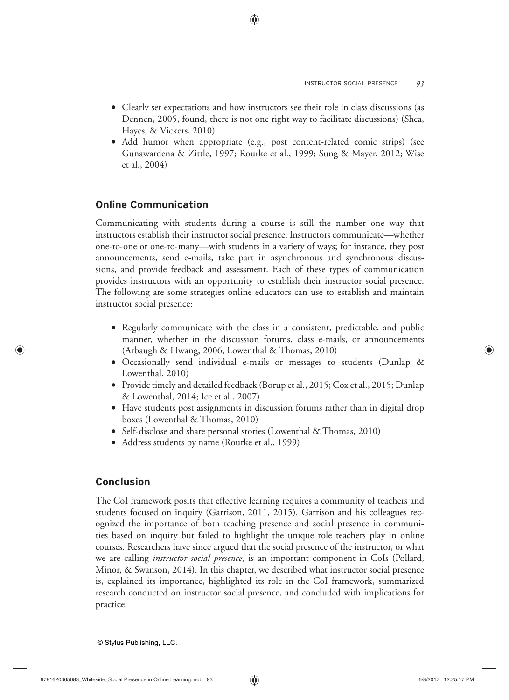- Clearly set expectations and how instructors see their role in class discussions (as Dennen, 2005, found, there is not one right way to facilitate discussions) (Shea, Hayes, & Vickers, 2010)
- Add humor when appropriate (e.g., post content-related comic strips) (see Gunawardena & Zittle, 1997; Rourke et al., 1999; Sung & Mayer, 2012; Wise et al., 2004)

# **Online Communication**

Communicating with students during a course is still the number one way that instructors establish their instructor social presence. Instructors communicate—whether one-to-one or one-to-many—with students in a variety of ways; for instance, they post announcements, send e-mails, take part in asynchronous and synchronous discussions, and provide feedback and assessment. Each of these types of communication provides instructors with an opportunity to establish their instructor social presence. The following are some strategies online educators can use to establish and maintain instructor social presence:

- Regularly communicate with the class in a consistent, predictable, and public manner, whether in the discussion forums, class e-mails, or announcements (Arbaugh & Hwang, 2006; Lowenthal & Thomas, 2010)
- Occasionally send individual e-mails or messages to students (Dunlap & Lowenthal, 2010)
- Provide timely and detailed feedback (Borup et al., 2015; Cox et al., 2015; Dunlap & Lowenthal, 2014; Ice et al., 2007)
- Have students post assignments in discussion forums rather than in digital drop boxes (Lowenthal & Thomas, 2010)
- Self-disclose and share personal stories (Lowenthal & Thomas, 2010)
- Address students by name (Rourke et al., 1999)

# **Conclusion**

The CoI framework posits that effective learning requires a community of teachers and students focused on inquiry (Garrison, 2011, 2015). Garrison and his colleagues recognized the importance of both teaching presence and social presence in communities based on inquiry but failed to highlight the unique role teachers play in online courses. Researchers have since argued that the social presence of the instructor, or what we are calling *instructor social presence*, is an important component in CoIs (Pollard, Minor, & Swanson, 2014). In this chapter, we described what instructor social presence is, explained its importance, highlighted its role in the CoI framework, summarized research conducted on instructor social presence, and concluded with implications for practice.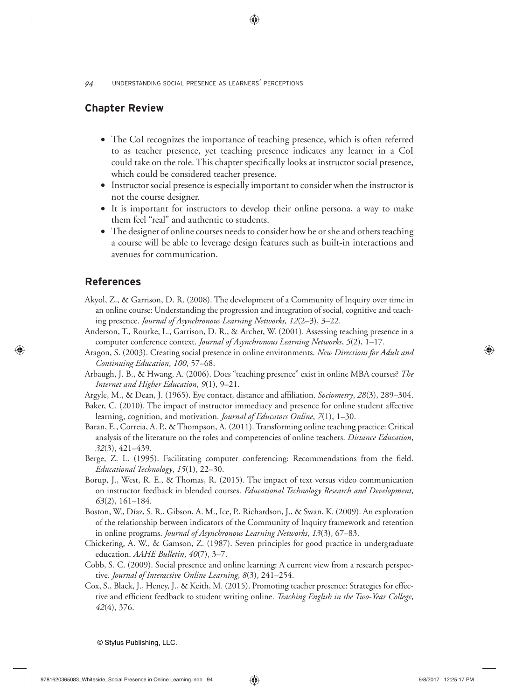# **Chapter Review**

- The CoI recognizes the importance of teaching presence, which is often referred to as teacher presence, yet teaching presence indicates any learner in a CoI could take on the role. This chapter specifically looks at instructor social presence, which could be considered teacher presence.
- Instructor social presence is especially important to consider when the instructor is not the course designer.
- It is important for instructors to develop their online persona, a way to make them feel "real" and authentic to students.
- The designer of online courses needs to consider how he or she and others teaching a course will be able to leverage design features such as built-in interactions and avenues for communication.

## **References**

- Akyol, Z., & Garrison, D. R. (2008). The development of a Community of Inquiry over time in an online course: Understanding the progression and integration of social, cognitive and teaching presence. *Journal of Asynchronous Learning Networks, 12*(2–3), 3–22.
- Anderson, T., Rourke, L., Garrison, D. R., & Archer, W. (2001). Assessing teaching presence in a computer conference context. *Journal of Asynchronous Learning Networks*, *5*(2), 1–17.
- Aragon, S. (2003). Creating social presence in online environments. *New Directions for Adult and Continuing Education*, *100*, 57−68.
- Arbaugh, J. B., & Hwang, A. (2006). Does "teaching presence" exist in online MBA courses? *The Internet and Higher Education*, *9*(1), 9–21.
- Argyle, M., & Dean, J. (1965). Eye contact, distance and affiliation. *Sociometry*, 28(3), 289–304.
- Baker, C. (2010). The impact of instructor immediacy and presence for online student affective learning, cognition, and motivation. *Journal of Educators Online*, *7*(1), 1–30.
- Baran, E., Correia, A. P., & Thompson, A. (2011). Transforming online teaching practice: Critical analysis of the literature on the roles and competencies of online teachers. *Distance Education*, *32*(3), 421–439.
- Berge, Z. L. (1995). Facilitating computer conferencing: Recommendations from the field. *Educational Technology*, *15*(1), 22–30.
- Borup, J., West, R. E., & Thomas, R. (2015). The impact of text versus video communication on instructor feedback in blended courses. *Educational Technology Research and Development*, *63*(2), 161–184.
- Boston, W., Díaz, S. R., Gibson, A. M., Ice, P., Richardson, J., & Swan, K. (2009). An exploration of the relationship between indicators of the Community of Inquiry framework and retention in online programs. *Journal of Asynchronous Learning Networks*, *13*(3), 67–83.
- Chickering, A. W., & Gamson, Z. (1987). Seven principles for good practice in undergraduate education. *AAHE Bulletin*, *40*(7), 3–7.
- Cobb, S. C. (2009). Social presence and online learning: A current view from a research perspective. *Journal of Interactive Online Learning*, *8*(3), 241–254.
- Cox, S., Black, J., Heney, J., & Keith, M. (2015). Promoting teacher presence: Strategies for effective and efficient feedback to student writing online. *Teaching English in the Two-Year College*, *42*(4), 376.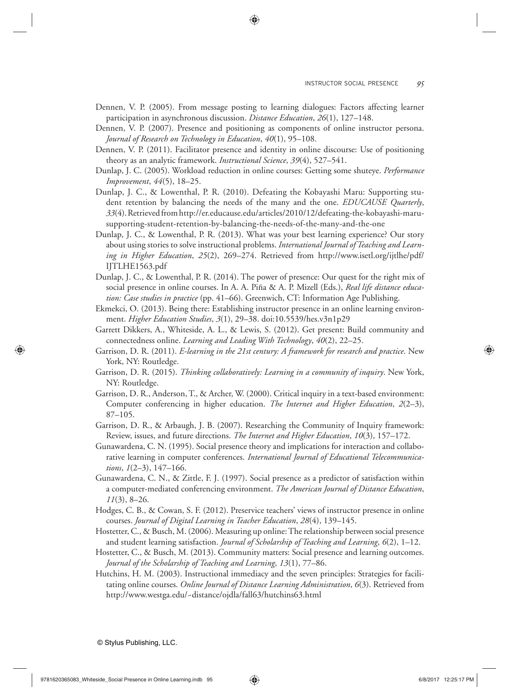- Dennen, V. P. (2005). From message posting to learning dialogues: Factors affecting learner participation in asynchronous discussion. *Distance Education*, *26*(1), 127–148.
- Dennen, V. P. (2007). Presence and positioning as components of online instructor persona. *Journal of Research on Technology in Education*, *40*(1), 95–108.
- Dennen, V. P. (2011). Facilitator presence and identity in online discourse: Use of positioning theory as an analytic framework. *Instructional Science*, *39*(4), 527–541.
- Dunlap, J. C. (2005). Workload reduction in online courses: Getting some shuteye. *Performance Improvement*, *44*(5), 18–25.
- Dunlap, J. C., & Lowenthal, P. R. (2010). Defeating the Kobayashi Maru: Supporting student retention by balancing the needs of the many and the one. *EDUCAUSE Quarterly*, *33*(4). Re trieved from http://er.educause.edu/articles/2010/12/defeating-the-kobayashi-marusupporting-student-retention-by-balancing-the-needs-of-the-many-and-the-one
- Dunlap, J. C., & Lowenthal, P. R. (2013). What was your best learning experience? Our story about using stories to solve instructional problems. *International Journal of Teaching and Learning in Higher Education*, *25*(2), 269–274. Retrieved from http://www.isetl.org/ijtlhe/pdf/ IJTLHE1563.pdf
- Dunlap, J. C., & Lowenthal, P. R. (2014). The power of presence: Our quest for the right mix of social presence in online courses. In A. A. Piña & A. P. Mizell (Eds.), *Real life distance education: Case studies in practice* (pp. 41–66). Greenwich, CT: Information Age Publishing.
- Ekmekci, O. (2013). Being there: Establishing instructor presence in an online learning environment. *Higher Education Studies*, *3*(1), 29–38. doi:10.5539/hes.v3n1p29
- Garrett Dikkers, A., Whiteside, A. L., & Lewis, S. (2012). Get present: Build community and connectedness online. *Learning and Leading With Technology*, *40*(2), 22–25.
- Garrison, D. R. (2011). *E-learning in the 21st century: A framework for research and practice*. New York, NY: Routledge.
- Garrison, D. R. (2015). *Thinking collaboratively: Learning in a community of inquiry*. New York, NY: Routledge.
- Garrison, D. R., Anderson, T., & Archer, W. (2000). Critical inquiry in a text-based environment: Computer conferencing in higher education. *The Internet and Higher Education*, *2*(2–3), 87–105.
- Garrison, D. R., & Arbaugh, J. B. (2007). Researching the Community of Inquiry framework: Review, issues, and future directions. *The Internet and Higher Education*, *10*(3), 157–172.
- Gunawardena, C. N. (1995). Social presence theory and implications for interaction and collaborative learning in computer conferences. *International Journal of Educational Telecommunications*, *1*(2–3), 147–166.
- Gunawardena, C. N., & Zittle, F. J. (1997). Social presence as a predictor of satisfaction within a computer-mediated conferencing environment. *The American Journal of Distance Education*, *11*(3), 8–26.
- Hodges, C. B., & Cowan, S. F. (2012). Preservice teachers' views of instructor presence in online courses. *Journal of Digital Learning in Teacher Education*, *28*(4), 139–145.
- Hostetter, C., & Busch, M. (2006). Measuring up online: The relationship between social presence and student learning satisfaction. *Journal of Scholarship of Teaching and Learning*, *6*(2), 1–12.
- Hostetter, C., & Busch, M. (2013). Community matters: Social presence and learning outcomes. *Journal of the Scholarship of Teaching and Learning*, *13*(1), 77–86.
- Hutchins, H. M. (2003). Instructional immediacy and the seven principles: Strategies for facilitating online courses. *Online Journal of Distance Learning Administration*, *6*(3). Retrieved from http://www.westga.edu/~distance/ojdla/fall63/hutchins63.html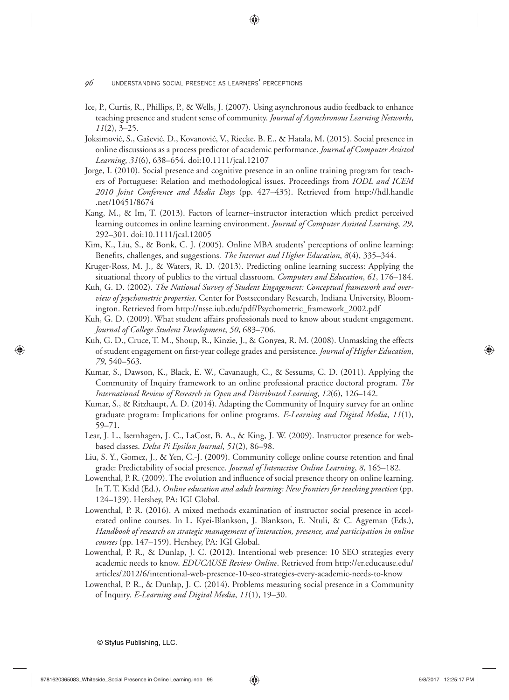- Ice, P., Curtis, R., Phillips, P., & Wells, J. (2007). Using asynchronous audio feedback to enhance teaching presence and student sense of community. *Journal of Asynchronous Learning Networks*, *11*(2), 3–25.
- Joksimović, S., Gašević, D., Kovanović, V., Riecke, B. E., & Hatala, M. (2015). Social presence in online discussions as a process predictor of academic performance. *Journal of Computer Assisted Learning*, *31*(6), 638–654. doi:10.1111/jcal.12107
- Jorge, I. (2010). Social presence and cognitive presence in an online training program for teachers of Portuguese: Relation and methodological issues. Proceedings from *IODL and ICEM 2010 Joint Conference and Media Days* (pp. 427–435). Retrieved from http://hdl.handle .net/10451/8674
- Kang, M., & Im, T. (2013). Factors of learner–instructor interaction which predict perceived learning outcomes in online learning environment. *Journal of Computer Assisted Learning*, *29*, 292–301. doi:10.1111/jcal.12005
- Kim, K., Liu, S., & Bonk, C. J. (2005). Online MBA students' perceptions of online learning: Benefits, challenges, and suggestions. *The Internet and Higher Education*, 8(4), 335-344.
- Kruger-Ross, M. J., & Waters, R. D. (2013). Predicting online learning success: Applying the situational theory of publics to the virtual classroom. *Computers and Education*, *61*, 176–184.
- Kuh, G. D. (2002). *The National Survey of Student Engagement: Conceptual framework and overview of psychometric properties*. Center for Postsecondary Research, Indiana University, Bloomington. Retrieved from http://nsse.iub.edu/pdf/Psychometric\_framework\_2002.pdf
- Kuh, G. D. (2009). What student affairs professionals need to know about student engagement. *Journal of College Student Development*, *50*, 683–706.
- Kuh, G. D., Cruce, T. M., Shoup, R., Kinzie, J., & Gonyea, R. M. (2008). Unmasking the effects of student engagement on first-year college grades and persistence. *Journal of Higher Education*, *79*, 540–563.
- Kumar, S., Dawson, K., Black, E. W., Cavanaugh, C., & Sessums, C. D. (2011). Applying the Community of Inquiry framework to an online professional practice doctoral program. *The International Review of Research in Open and Distributed Learning*, *12*(6), 126–142.
- Kumar, S., & Ritzhaupt, A. D. (2014). Adapting the Community of Inquiry survey for an online graduate program: Implications for online programs. *E-Learning and Digital Media*, *11*(1), 59–71.
- Lear, J. L., Isernhagen, J. C., LaCost, B. A., & King, J. W. (2009). Instructor presence for webbased classes. *Delta Pi Epsilon Journal*, *51*(2), 86–98.
- Liu, S. Y., Gomez, J., & Yen, C.-J. (2009). Community college online course retention and final grade: Predictability of social presence. *Journal of Interactive Online Learning*, *8*, 165–182.
- Lowenthal, P. R. (2009). The evolution and influence of social presence theory on online learning. In T. T. Kidd (Ed.), *Online education and adult learning: New frontiers for teaching practices* (pp. 124–139). Hershey, PA: IGI Global.
- Lowenthal, P. R. (2016). A mixed methods examination of instructor social presence in accelerated online courses. In L. Kyei-Blankson, J. Blankson, E. Ntuli, & C. Agyeman (Eds.), *Handbook of research on strategic management of interaction, presence, and participation in online courses* (pp. 147–159). Hershey, PA: IGI Global.
- Lowenthal, P. R., & Dunlap, J. C. (2012). Intentional web presence: 10 SEO strategies every academic needs to know. *EDUCAUSE Review Online*. Retrieved from http://er.educause.edu/ articles/2012/6/intentional-web-presence-10-seo-strategies-every-academic-needs-to-know
- Lowenthal, P. R., & Dunlap, J. C. (2014). Problems measuring social presence in a Community of Inquiry. *E-Learning and Digital Media*, *11*(1), 19–30.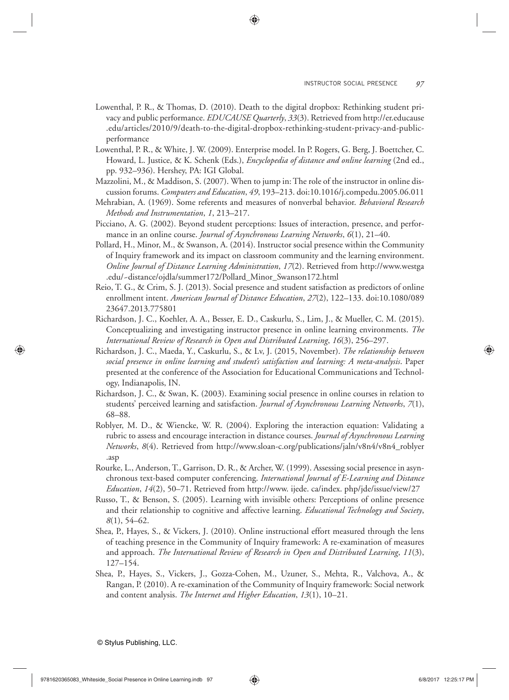- Lowenthal, P. R., & Thomas, D. (2010). Death to the digital dropbox: Rethinking student privacy and public performance. *EDUCAUSE Quarterly*, *33*(3). Retrieved from http://er.educause .edu/articles/2010/9/death-to-the-digital-dropbox-rethinking-student-privacy-and-publicperformance
- Lowenthal, P. R., & White, J. W. (2009). Enterprise model. In P. Rogers, G. Berg, J. Boettcher, C. Howard, L. Justice, & K. Schenk (Eds.), *Encyclopedia of distance and online learning* (2nd ed., pp. 932–936). Hershey, PA: IGI Global.
- Mazzolini, M., & Maddison, S. (2007). When to jump in: The role of the instructor in online discussion forums. *Computers and Education*, *49*, 193–213. doi:10.1016/j.compedu.2005.06.011
- Mehrabian, A. (1969). Some referents and measures of nonverbal behavior. *Behavioral Research Methods and Instrumentation*, *1*, 213–217.
- Picciano, A. G. (2002). Beyond student perceptions: Issues of interaction, presence, and performance in an online course. *Journal of Asynchronous Learning Networks*, *6*(1), 21–40.
- Pollard, H., Minor, M., & Swanson, A. (2014). Instructor social presence within the Community of Inquiry framework and its impact on classroom community and the learning environment. *Online Journal of Distance Learning Administration*, *17*(2). Retrieved from http://www.westga .edu/~distance/ojdla/summer172/Pollard\_Minor\_Swanson172.html
- Reio, T. G., & Crim, S. J. (2013). Social presence and student satisfaction as predictors of online enrollment intent. *American Journal of Distance Education*, *27*(2), 122–133. doi:10.1080/089 23647.2013.775801
- Richardson, J. C., Koehler, A. A., Besser, E. D., Caskurlu, S., Lim, J., & Mueller, C. M. (2015). Conceptualizing and investigating instructor presence in online learning environments. *The International Review of Research in Open and Distributed Learning*, *16*(3), 256–297.
- Richardson, J. C., Maeda, Y., Caskurlu, S., & Lv, J. (2015, November). *The relationship between social presence in online learning and student's satisfaction and learning: A meta-analysis*. Paper presented at the conference of the Association for Educational Communications and Technology, Indianapolis, IN.
- Richardson, J. C., & Swan, K. (2003). Examining social presence in online courses in relation to students' perceived learning and satisfaction. *Journal of Asynchronous Learning Networks*, *7*(1), 68–88.
- Roblyer, M. D., & Wiencke, W. R. (2004). Exploring the interaction equation: Validating a rubric to assess and encourage interaction in distance courses. *Journal of Asynchronous Learning Networks*, *8*(4). Retrieved from http://www.sloan-c.org/publications/jaln/v8n4/v8n4\_roblyer .asp
- Rourke, L., Anderson, T., Garrison, D. R., & Archer, W. (1999). Assessing social presence in asynchronous text-based computer conferencing. *International Journal of E-Learning and Distance Education*, *14*(2), 50–71. Retrieved from http://www. ijede. ca/index. php/jde/issue/view/27
- Russo, T., & Benson, S. (2005). Learning with invisible others: Perceptions of online presence and their relationship to cognitive and affective learning. *Educational Technology and Society*, *8*(1), 54–62.
- Shea, P., Hayes, S., & Vickers, J. (2010). Online instructional effort measured through the lens of teaching presence in the Community of Inquiry framework: A re-examination of measures and approach. *The International Review of Research in Open and Distributed Learning*, *11*(3), 127–154.
- Shea, P., Hayes, S., Vickers, J., Gozza-Cohen, M., Uzuner, S., Mehta, R., Valchova, A., & Rangan, P. (2010). A re-examination of the Community of Inquiry framework: Social network and content analysis. *The Internet and Higher Education*, *13*(1), 10–21.